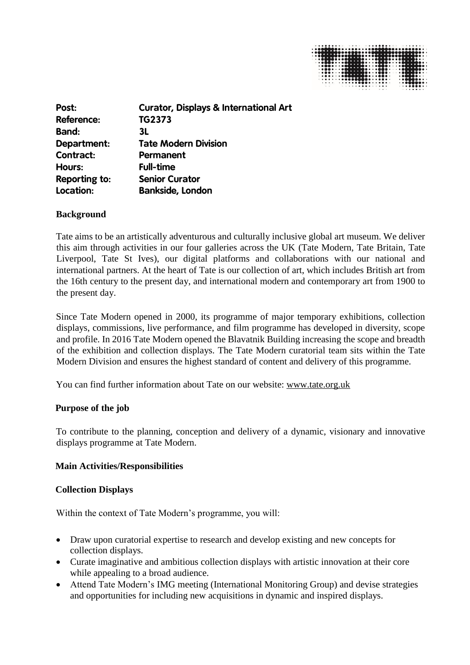

| Post:                | <b>Curator, Displays &amp; International Art</b> |
|----------------------|--------------------------------------------------|
| <b>Reference:</b>    | TG2373                                           |
| <b>Band:</b>         | 3L                                               |
| Department:          | <b>Tate Modern Division</b>                      |
| <b>Contract:</b>     | Permanent                                        |
| Hours:               | <b>Full-time</b>                                 |
| <b>Reporting to:</b> | <b>Senior Curator</b>                            |
| Location:            | <b>Bankside, London</b>                          |

## **Background**

Tate aims to be an artistically adventurous and culturally inclusive global art museum. We deliver this aim through activities in our four galleries across the UK (Tate Modern, Tate Britain, Tate Liverpool, Tate St Ives), our digital platforms and collaborations with our national and international partners. At the heart of Tate is our collection of art, which includes British art from the 16th century to the present day, and international modern and contemporary art from 1900 to the present day.

Since Tate Modern opened in 2000, its programme of major temporary exhibitions, collection displays, commissions, live performance, and film programme has developed in diversity, scope and profile. In 2016 Tate Modern opened the Blavatnik Building increasing the scope and breadth of the exhibition and collection displays. The Tate Modern curatorial team sits within the Tate Modern Division and ensures the highest standard of content and delivery of this programme.

You can find further information about Tate on our website: [www.tate.org.uk](http://www.tate.org.uk/)

#### **Purpose of the job**

To contribute to the planning, conception and delivery of a dynamic, visionary and innovative displays programme at Tate Modern.

#### **Main Activities/Responsibilities**

#### **Collection Displays**

Within the context of Tate Modern's programme, you will:

- Draw upon curatorial expertise to research and develop existing and new concepts for collection displays.
- Curate imaginative and ambitious collection displays with artistic innovation at their core while appealing to a broad audience.
- Attend Tate Modern's IMG meeting (International Monitoring Group) and devise strategies and opportunities for including new acquisitions in dynamic and inspired displays.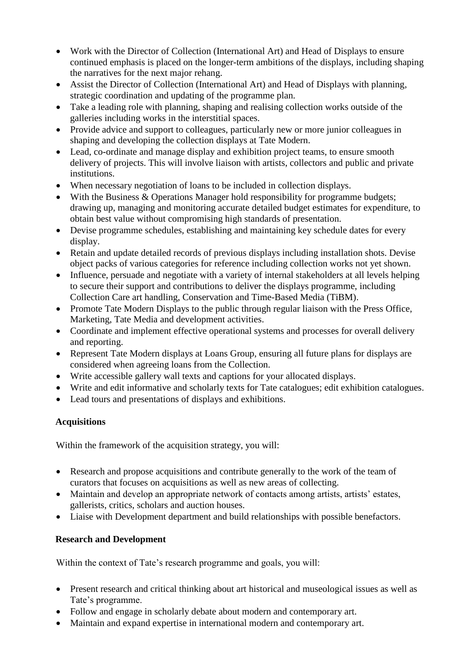- Work with the Director of Collection (International Art) and Head of Displays to ensure continued emphasis is placed on the longer-term ambitions of the displays, including shaping the narratives for the next major rehang.
- Assist the Director of Collection (International Art) and Head of Displays with planning, strategic coordination and updating of the programme plan.
- Take a leading role with planning, shaping and realising collection works outside of the galleries including works in the interstitial spaces.
- Provide advice and support to colleagues, particularly new or more junior colleagues in shaping and developing the collection displays at Tate Modern.
- Lead, co-ordinate and manage display and exhibition project teams, to ensure smooth delivery of projects. This will involve liaison with artists, collectors and public and private institutions.
- When necessary negotiation of loans to be included in collection displays.
- With the Business & Operations Manager hold responsibility for programme budgets; drawing up, managing and monitoring accurate detailed budget estimates for expenditure, to obtain best value without compromising high standards of presentation.
- Devise programme schedules, establishing and maintaining key schedule dates for every display.
- Retain and update detailed records of previous displays including installation shots. Devise object packs of various categories for reference including collection works not yet shown.
- Influence, persuade and negotiate with a variety of internal stakeholders at all levels helping to secure their support and contributions to deliver the displays programme, including Collection Care art handling, Conservation and Time-Based Media (TiBM).
- Promote Tate Modern Displays to the public through regular liaison with the Press Office, Marketing, Tate Media and development activities.
- Coordinate and implement effective operational systems and processes for overall delivery and reporting.
- Represent Tate Modern displays at Loans Group, ensuring all future plans for displays are considered when agreeing loans from the Collection.
- Write accessible gallery wall texts and captions for your allocated displays.
- Write and edit informative and scholarly texts for Tate catalogues; edit exhibition catalogues.
- Lead tours and presentations of displays and exhibitions.

# **Acquisitions**

Within the framework of the acquisition strategy, you will:

- Research and propose acquisitions and contribute generally to the work of the team of curators that focuses on acquisitions as well as new areas of collecting.
- Maintain and develop an appropriate network of contacts among artists, artists' estates, gallerists, critics, scholars and auction houses.
- Liaise with Development department and build relationships with possible benefactors.

# **Research and Development**

Within the context of Tate's research programme and goals, you will:

- Present research and critical thinking about art historical and museological issues as well as Tate's programme.
- Follow and engage in scholarly debate about modern and contemporary art.
- Maintain and expand expertise in international modern and contemporary art.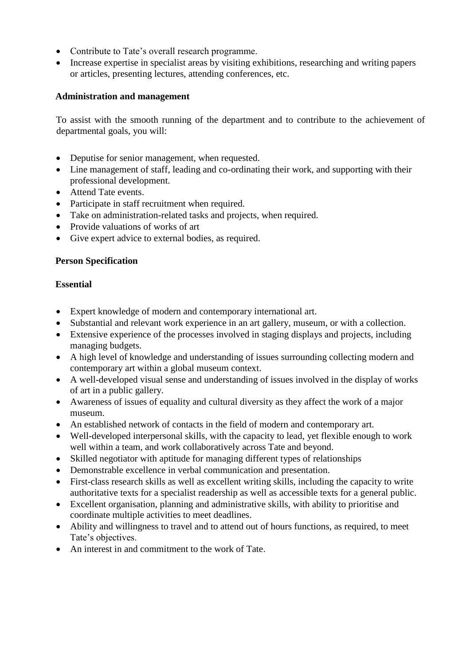- Contribute to Tate's overall research programme.
- Increase expertise in specialist areas by visiting exhibitions, researching and writing papers or articles, presenting lectures, attending conferences, etc.

# **Administration and management**

To assist with the smooth running of the department and to contribute to the achievement of departmental goals, you will:

- Deputise for senior management, when requested.
- Line management of staff, leading and co-ordinating their work, and supporting with their professional development.
- Attend Tate events.
- Participate in staff recruitment when required.
- Take on administration-related tasks and projects, when required.
- Provide valuations of works of art
- Give expert advice to external bodies, as required.

## **Person Specification**

## **Essential**

- Expert knowledge of modern and contemporary international art.
- Substantial and relevant work experience in an art gallery, museum, or with a collection.
- Extensive experience of the processes involved in staging displays and projects, including managing budgets.
- A high level of knowledge and understanding of issues surrounding collecting modern and contemporary art within a global museum context.
- A well-developed visual sense and understanding of issues involved in the display of works of art in a public gallery.
- Awareness of issues of equality and cultural diversity as they affect the work of a major museum.
- An established network of contacts in the field of modern and contemporary art.
- Well-developed interpersonal skills, with the capacity to lead, yet flexible enough to work well within a team, and work collaboratively across Tate and beyond.
- Skilled negotiator with aptitude for managing different types of relationships
- Demonstrable excellence in verbal communication and presentation.
- First-class research skills as well as excellent writing skills, including the capacity to write authoritative texts for a specialist readership as well as accessible texts for a general public.
- Excellent organisation, planning and administrative skills, with ability to prioritise and coordinate multiple activities to meet deadlines.
- Ability and willingness to travel and to attend out of hours functions, as required, to meet Tate's objectives.
- An interest in and commitment to the work of Tate.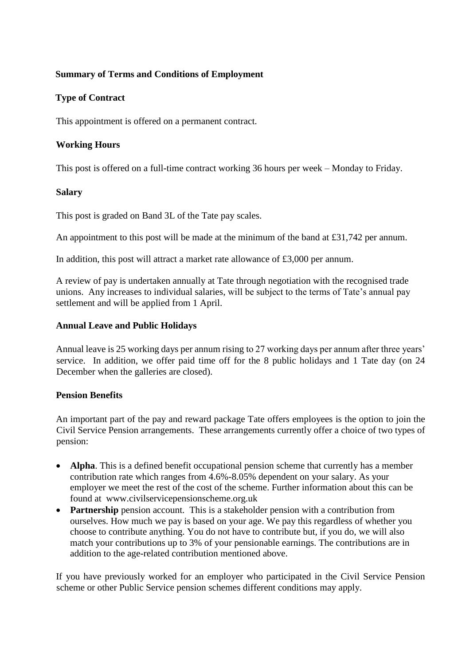# **Summary of Terms and Conditions of Employment**

# **Type of Contract**

This appointment is offered on a permanent contract.

## **Working Hours**

This post is offered on a full-time contract working 36 hours per week – Monday to Friday.

#### **Salary**

This post is graded on Band 3L of the Tate pay scales.

An appointment to this post will be made at the minimum of the band at £31,742 per annum.

In addition, this post will attract a market rate allowance of £3,000 per annum.

A review of pay is undertaken annually at Tate through negotiation with the recognised trade unions. Any increases to individual salaries, will be subject to the terms of Tate's annual pay settlement and will be applied from 1 April.

#### **Annual Leave and Public Holidays**

Annual leave is 25 working days per annum rising to 27 working days per annum after three years' service. In addition, we offer paid time off for the 8 public holidays and 1 Tate day (on 24 December when the galleries are closed).

#### **Pension Benefits**

An important part of the pay and reward package Tate offers employees is the option to join the Civil Service Pension arrangements. These arrangements currently offer a choice of two types of pension:

- **Alpha**. This is a defined benefit occupational pension scheme that currently has a member contribution rate which ranges from 4.6%-8.05% dependent on your salary. As your employer we meet the rest of the cost of the scheme. Further information about this can be found at [www.civilservicepensionscheme.org.uk](http://www.civilservicepensionscheme.org.uk/)
- **Partnership** pension account. This is a stakeholder pension with a contribution from ourselves. How much we pay is based on your age. We pay this regardless of whether you choose to contribute anything. You do not have to contribute but, if you do, we will also match your contributions up to 3% of your pensionable earnings. The contributions are in addition to the age-related contribution mentioned above.

If you have previously worked for an employer who participated in the Civil Service Pension scheme or other Public Service pension schemes different conditions may apply.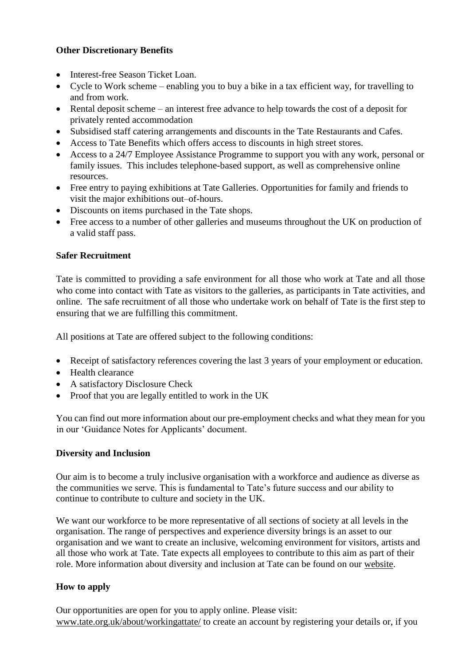# **Other Discretionary Benefits**

- Interest-free Season Ticket Loan.
- Cycle to Work scheme enabling you to buy a bike in a tax efficient way, for travelling to and from work.
- Rental deposit scheme an interest free advance to help towards the cost of a deposit for privately rented accommodation
- Subsidised staff catering arrangements and discounts in the Tate Restaurants and Cafes.
- Access to Tate Benefits which offers access to discounts in high street stores.
- Access to a 24/7 Employee Assistance Programme to support you with any work, personal or family issues. This includes telephone-based support, as well as comprehensive online resources.
- Free entry to paying exhibitions at Tate Galleries. Opportunities for family and friends to visit the major exhibitions out–of-hours.
- Discounts on items purchased in the Tate shops.
- Free access to a number of other galleries and museums throughout the UK on production of a valid staff pass.

# **Safer Recruitment**

Tate is committed to providing a safe environment for all those who work at Tate and all those who come into contact with Tate as visitors to the galleries, as participants in Tate activities, and online. The safe recruitment of all those who undertake work on behalf of Tate is the first step to ensuring that we are fulfilling this commitment.

All positions at Tate are offered subject to the following conditions:

- Receipt of satisfactory references covering the last 3 years of your employment or education.
- Health clearance
- A satisfactory Disclosure Check
- Proof that you are legally entitled to work in the UK

You can find out more information about our pre-employment checks and what they mean for you in our 'Guidance Notes for Applicants' document.

## **Diversity and Inclusion**

Our aim is to become a truly inclusive organisation with a workforce and audience as diverse as the communities we serve. This is fundamental to Tate's future success and our ability to continue to contribute to culture and society in the UK.

We want our workforce to be more representative of all sections of society at all levels in the organisation. The range of perspectives and experience diversity brings is an asset to our organisation and we want to create an inclusive, welcoming environment for visitors, artists and all those who work at Tate. Tate expects all employees to contribute to this aim as part of their role. More information about diversity and inclusion at Tate can be found on our [website.](http://www.tate.org.uk/about/working-at-tate/diversity-at-tate)

## **How to apply**

Our opportunities are open for you to apply online. Please visit: www.tate.org.uk/about/workingattate/ to create an account by registering your details or, if you